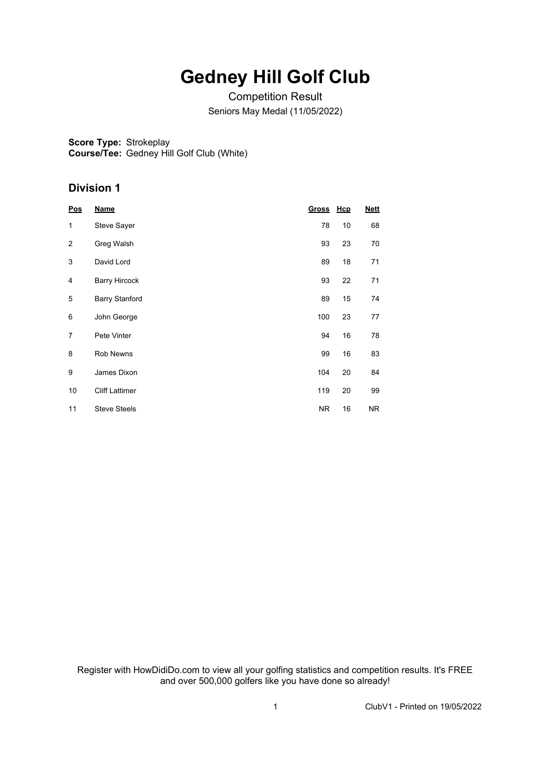# **Gedney Hill Golf Club**

Competition Result Seniors May Medal (11/05/2022)

**Score Type:** Strokeplay **Course/Tee:** Gedney Hill Golf Club (White)

### **Division 1**

| <b>Pos</b>     | <b>Name</b>           | Gross Hcp |    | <b>Nett</b> |
|----------------|-----------------------|-----------|----|-------------|
| 1              | <b>Steve Sayer</b>    | 78        | 10 | 68          |
| $\overline{2}$ | Greg Walsh            | 93        | 23 | 70          |
| 3              | David Lord            | 89        | 18 | 71          |
| 4              | <b>Barry Hircock</b>  | 93        | 22 | 71          |
| 5              | <b>Barry Stanford</b> | 89        | 15 | 74          |
| 6              | John George           | 100       | 23 | 77          |
| 7              | Pete Vinter           | 94        | 16 | 78          |
| 8              | Rob Newns             | 99        | 16 | 83          |
| 9              | James Dixon           | 104       | 20 | 84          |
| 10             | <b>Cliff Lattimer</b> | 119       | 20 | 99          |
| 11             | <b>Steve Steels</b>   | <b>NR</b> | 16 | NR.         |

Register with HowDidiDo.com to view all your golfing statistics and competition results. It's FREE and over 500,000 golfers like you have done so already!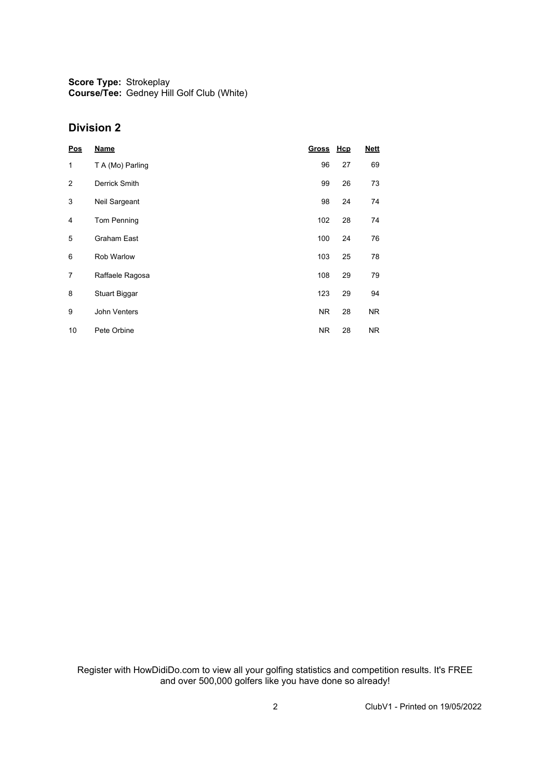**Score Type:** Strokeplay **Course/Tee:** Gedney Hill Golf Club (White)

#### **Division 2**

| Pos            | <b>Name</b>          | Gross Hcp |    | <b>Nett</b> |
|----------------|----------------------|-----------|----|-------------|
| $\mathbf{1}$   | T A (Mo) Parling     | 96        | 27 | 69          |
| $\overline{2}$ | Derrick Smith        | 99        | 26 | 73          |
| 3              | Neil Sargeant        | 98        | 24 | 74          |
| 4              | <b>Tom Penning</b>   | 102       | 28 | 74          |
| 5              | <b>Graham East</b>   | 100       | 24 | 76          |
| 6              | <b>Rob Warlow</b>    | 103       | 25 | 78          |
| 7              | Raffaele Ragosa      | 108       | 29 | 79          |
| 8              | <b>Stuart Biggar</b> | 123       | 29 | 94          |
| 9              | John Venters         | NR.       | 28 | NR.         |
| 10             | Pete Orbine          | NR.       | 28 | <b>NR</b>   |

Register with HowDidiDo.com to view all your golfing statistics and competition results. It's FREE and over 500,000 golfers like you have done so already!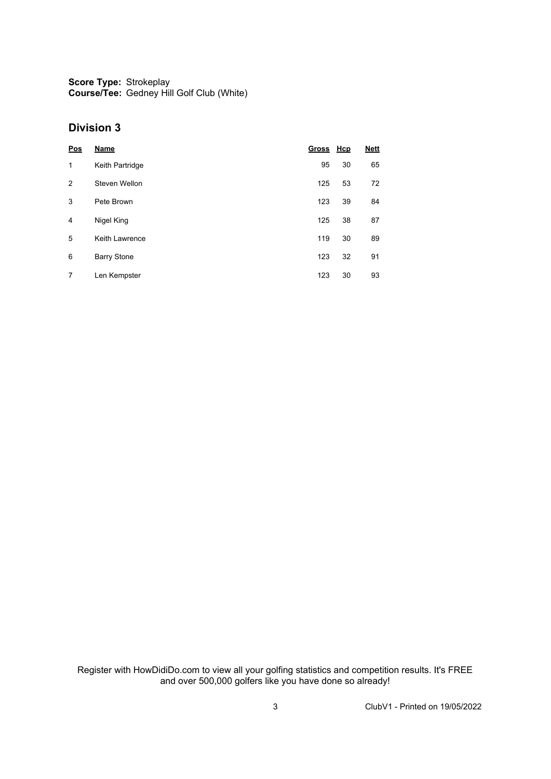**Score Type:** Strokeplay **Course/Tee:** Gedney Hill Golf Club (White)

#### **Division 3**

| Pos | Name               | Gross Hcp |    | <b>Nett</b> |
|-----|--------------------|-----------|----|-------------|
| 1   | Keith Partridge    | 95        | 30 | 65          |
| 2   | Steven Wellon      | 125       | 53 | 72          |
| 3   | Pete Brown         | 123       | 39 | 84          |
| 4   | Nigel King         | 125       | 38 | 87          |
| 5   | Keith Lawrence     | 119       | 30 | 89          |
| 6   | <b>Barry Stone</b> | 123       | 32 | 91          |
| 7   | Len Kempster       | 123       | 30 | 93          |

Register with HowDidiDo.com to view all your golfing statistics and competition results. It's FREE and over 500,000 golfers like you have done so already!